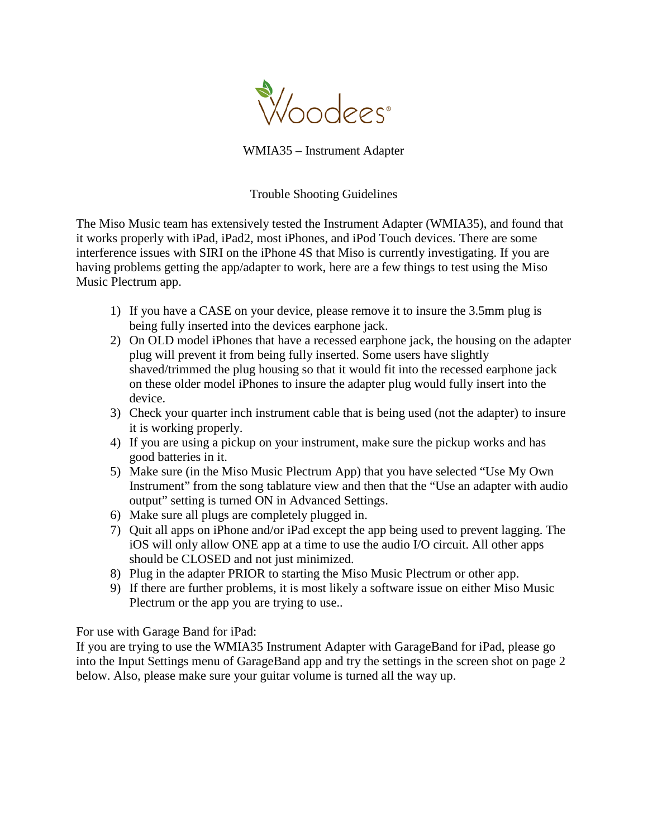

WMIA35 – Instrument Adapter

Trouble Shooting Guidelines

The Miso Music team has extensively tested the Instrument Adapter (WMIA35), and found that it works properly with iPad, iPad2, most iPhones, and iPod Touch devices. There are some interference issues with SIRI on the iPhone 4S that Miso is currently investigating. If you are having problems getting the app/adapter to work, here are a few things to test using the Miso Music Plectrum app.

- 1) If you have a CASE on your device, please remove it to insure the 3.5mm plug is being fully inserted into the devices earphone jack.
- 2) On OLD model iPhones that have a recessed earphone jack, the housing on the adapter plug will prevent it from being fully inserted. Some users have slightly shaved/trimmed the plug housing so that it would fit into the recessed earphone jack on these older model iPhones to insure the adapter plug would fully insert into the device.
- 3) Check your quarter inch instrument cable that is being used (not the adapter) to insure it is working properly.
- 4) If you are using a pickup on your instrument, make sure the pickup works and has good batteries in it.
- 5) Make sure (in the Miso Music Plectrum App) that you have selected "Use My Own Instrument" from the song tablature view and then that the "Use an adapter with audio output" setting is turned ON in Advanced Settings.
- 6) Make sure all plugs are completely plugged in.
- 7) Quit all apps on iPhone and/or iPad except the app being used to prevent lagging. The iOS will only allow ONE app at a time to use the audio I/O circuit. All other apps should be CLOSED and not just minimized.
- 8) Plug in the adapter PRIOR to starting the Miso Music Plectrum or other app.
- 9) If there are further problems, it is most likely a software issue on either Miso Music Plectrum or the app you are trying to use..

For use with Garage Band for iPad:

If you are trying to use the WMIA35 Instrument Adapter with GarageBand for iPad, please go into the Input Settings menu of GarageBand app and try the settings in the screen shot on page 2 below. Also, please make sure your guitar volume is turned all the way up.